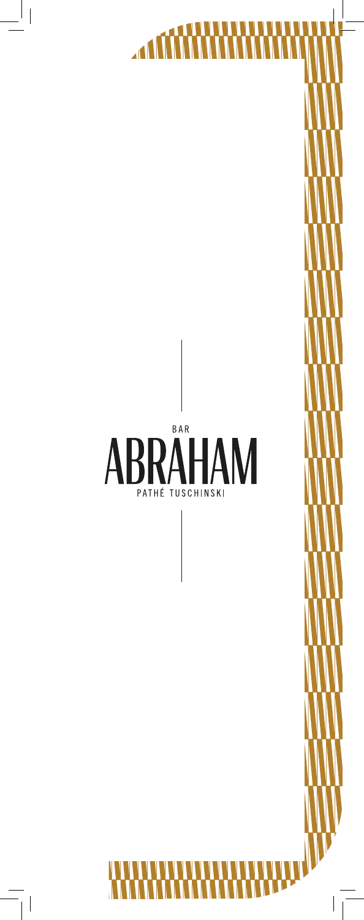

 $\begin{array}{c} \hline \end{array}$ 

 $\begin{array}{c} \begin{array}{c} \begin{array}{c} \end{array} \end{array} \end{array}$  $\overline{\phantom{a}}$ 

 $\begin{array}{c} \hline \end{array}$ 

 $\overline{\mathbf{A}}$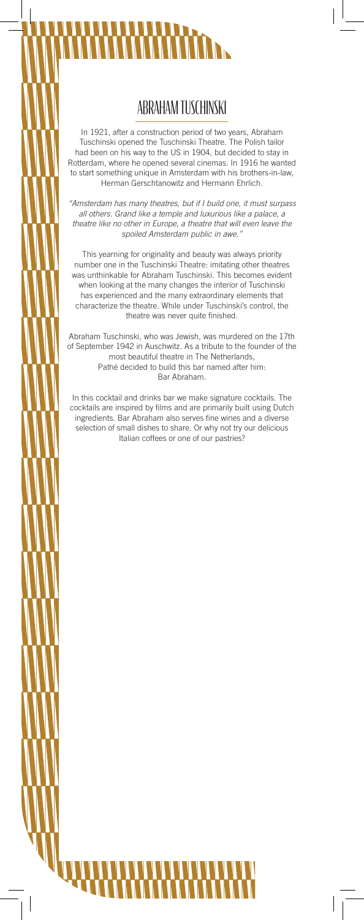# I

 $\overline{\phantom{a}}$ 

# ABRAHAM TUSCHINSKI

In 1921, after a construction period of two years, Abraham Tuschinski opened the Tuschinski Theatre. The Polish tailor had been on his way to the US in 1904, but decided to stay in Rotterdam, where he opened several cinemas. In 1916 he wanted to start something unique in Amsterdam with his brothers-in-law, Herman Gerschtanowitz and Hermann Ehrlich.

*"Amsterdam has many theatres, but if I build one, it must surpass all others. Grand like a temple and luxurious like a palace, a theatre like no other in Europe, a theatre that will even leave the spoiled Amsterdam public in awe."*

This yearning for originality and beauty was always priority number one in the Tuschinski Theatre: imitating other theatres was unthinkable for Abraham Tuschinski. This becomes evident when looking at the many changes the interior of Tuschinski has experienced and the many extraordinary elements that characterize the theatre. While under Tuschinski's control, the theatre was never quite finished.

Abraham Tuschinski, who was Jewish, was murdered on the 17th of September 1942 in Auschwitz. As a tribute to the founder of the most beautiful theatre in The Netherlands, Pathé decided to build this bar named after him: Bar Abraham.

In this cocktail and drinks bar we make signature cocktails. The cocktails are inspired by films and are primarily built using Dutch ingredients. Bar Abraham also serves fine wines and a diverse selection of small dishes to share. Or why not try our delicious Italian coffees or one of our pastries?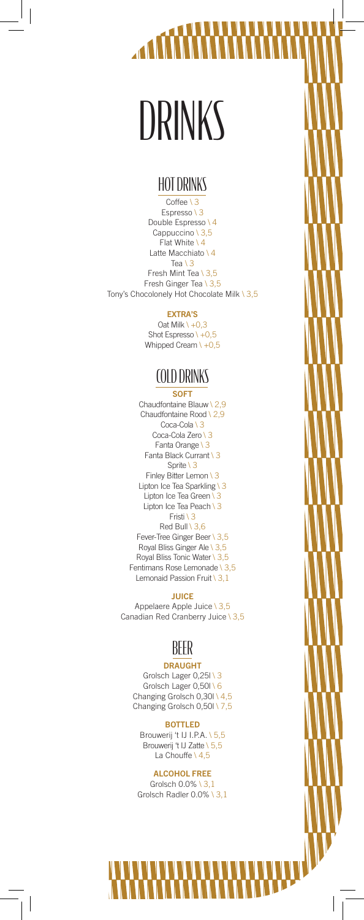# DRINKS

 $\overline{\phantom{a}}$ 

## HOT DRINKS

Coffee \ 3 Espresso \ 3 Double Espresso \ 4 Cappuccino \ 3,5 Flat White \ 4 Latte Macchiato \ 4 Tea \ 3 Fresh Mint Tea \ 3,5 Fresh Ginger Tea \ 3,5 Tony's Chocolonely Hot Chocolate Milk \ 3,5

### EXTRA'S

Oat Milk  $\setminus +0,3$ Shot Espresso \  $+0.5$ Whipped Cream  $\1 + 0,5$ 

# COLD DRINKS

**SOFT** Chaudfontaine Blauw \ 2,9 Chaudfontaine Rood \ 2,9 Coca-Cola \ 3 Coca-Cola Zero \ 3 Fanta Orange \ 3 Fanta Black Currant \ 3 Sprite \ 3 Finley Bitter Lemon \ 3 Lipton Ice Tea Sparkling \ 3 Lipton Ice Tea Green \ 3 Lipton Ice Tea Peach \ 3 Fristi \ 3 Red Bull \ 3,6 Fever-Tree Ginger Beer \ 3,5 Royal Bliss Ginger Ale \ 3,5 Royal Bliss Tonic Water \ 3,5 Fentimans Rose Lemonade \ 3,5 Lemonaid Passion Fruit \ 3,1

### **JUICE**

Appelaere Apple Juice \ 3,5 Canadian Red Cranberry Juice \ 3,5

# BEER

### DRAUGHT

Grolsch Lager 0,25l \ 3 Grolsch Lager 0,50l \ 6 Changing Grolsch  $0,30$  \ 4,5 Changing Grolsch 0,50l \ 7,5

BOTTLED Brouwerij 't IJ I.P.A. \ 5,5 Brouwerij 't IJ Zatte \ 5,5 La Chouffe \ 4,5

### ALCOHOL FREE

Grolsch 0.0% \ 3,1 Grolsch Radler 0.0% \ 3,1

 $\overline{\phantom{a}}$ 

 $\overline{\phantom{a}}$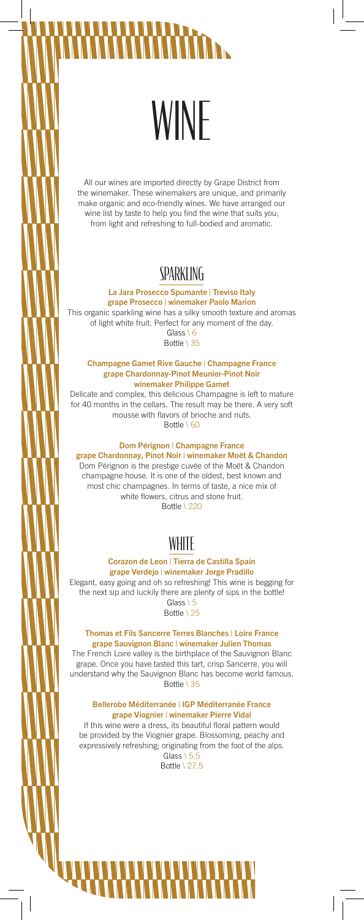# WINE

All our wines are imported directly by Grape District from the winemaker. These winemakers are unique, and primarily make organic and eco-friendly wines. We have arranged our wine list by taste to help you find the wine that suits you; from light and refreshing to full-bodied and aromatic.

# SPARKI ING

La Jara Prosecco Spumante | Treviso Italy grape Prosecco | winemaker Paolo Marion

This organic sparkling wine has a silky smooth texture and aromas of light white fruit. Perfect for any moment of the day. Glass \ 6

Bottle \ 35

Champagne Gamet Rive Gauche | Champagne France grape Chardonnay-Pinot Meunier-Pinot Noir winemaker Philippe Gamet

Delicate and complex, this delicious Champagne is left to mature for 40 months in the cellars. The result may be there. A very soft mousse with flavors of brioche and nuts. Bottle \ 60

### Dom Pérignon | Champagne France

grape Chardonnay, Pinot Noir | winemaker Moët & Chandon Dom Pérignon is the prestige cuvée of the Moët & Chandon champagne house. It is one of the oldest, best known and most chic champagnes. In terms of taste, a nice mix of white flowers, citrus and stone fruit. Bottle \ 220

# WHITE

### Corazon de Leon | Tierra de Castilla Spain grape Verdejo | winemaker Jorge Pradillo

Elegant, easy going and oh so refreshing! This wine is begging for the next sip and luckily there are plenty of sips in the bottle! Glass \ 5 Bottle \ 25

Thomas et Fils Sancerre Terres Blanches | Loire France grape Sauvignon Blanc | winemaker Julien Thomas

The French Loire valley is the birthplace of the Sauvignon Blanc grape. Once you have tasted this tart, crisp Sancerre, you will understand why the Sauvignon Blanc has become world famous. Bottle \ 35

### Bellerobe Méditerranée | IGP Méditerranée France grape Viognier | winemaker Pierre Vidal

If this wine were a dress, its beautiful floral pattern would be provided by the Viognier grape. Blossoming, peachy and expressively refreshing; originating from the foot of the alps. Glass  $\setminus$  5.5

Bottle \ 27,5

 $\overline{\phantom{a}}$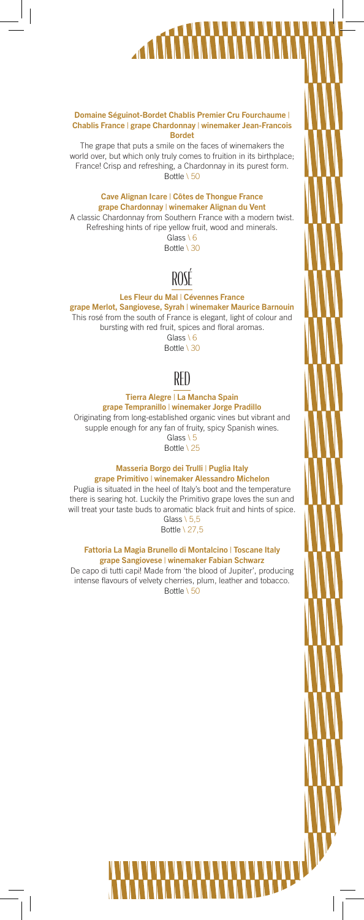### Domaine Séguinot-Bordet Chablis Premier Cru Fourchaume | Chablis France | grape Chardonnay | winemaker Jean-Francois Bordet

The grape that puts a smile on the faces of winemakers the world over, but which only truly comes to fruition in its birthplace; France! Crisp and refreshing, a Chardonnay in its purest form. Bottle \ 50

### Cave Alignan Icare | Côtes de Thongue France grape Chardonnay | winemaker Alignan du Vent

A classic Chardonnay from Southern France with a modern twist. Refreshing hints of ripe yellow fruit, wood and minerals. Glass \ 6

Bottle \ 30

# ROSÉ

### Les Fleur du Mal | Cévennes France

grape Merlot, Sangiovese, Syrah | winemaker Maurice Barnouin This rosé from the south of France is elegant, light of colour and bursting with red fruit, spices and floral aromas. Glass \ 6

Bottle \ 30



### Tierra Alegre | La Mancha Spain

grape Tempranillo | winemaker Jorge Pradillo Originating from long-established organic vines but vibrant and supple enough for any fan of fruity, spicy Spanish wines. Glass \ 5

Bottle \ 25

### Masseria Borgo dei Trulli | Puglia Italy grape Primitivo | winemaker Alessandro Michelon

Puglia is situated in the heel of Italy's boot and the temperature there is searing hot. Luckily the Primitivo grape loves the sun and will treat your taste buds to aromatic black fruit and hints of spice. Glass  $\setminus$  5.5

Bottle \ 27,5

### Fattoria La Magia Brunello di Montalcino | Toscane Italy grape Sangiovese | winemaker Fabian Schwarz

De capo di tutti capi! Made from 'the blood of Jupiter', producing intense flavours of velvety cherries, plum, leather and tobacco. Bottle \ 50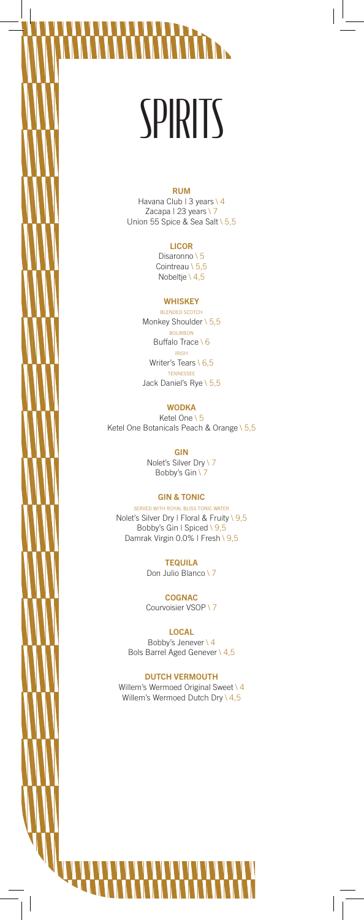# **SPIRITS**

 $\overline{\phantom{a}}$  $\overline{\phantom{a}}$ 

 $\mathbb{R}$ 

### RUM

Havana Club | 3 years \ 4 Zacapa | 23 years \ 7 Union 55 Spice & Sea Salt \ 5,5

### LICOR

Disaronno \ 5 Cointreau \ 5,5 Nobeltje \ 4,5

### **WHISKEY**

BLENDED SCOTCH Monkey Shoulder \ 5,5 BOURBON Buffalo Trace \6 IRISH Writer's Tears \ 6,5 TENNESSEE Jack Daniel's Rye \ 5,5

### **WODKA**

Ketel One \ 5 Ketel One Botanicals Peach & Orange \ 5,5

GIN

Nolet's Silver Dry \ 7 Bobby's Gin \7

### GIN & TONIC

SERVED WITH ROYAL BLISS TONIC WATER Nolet's Silver Dry | Floral & Fruity \ 9,5 Bobby's Gin | Spiced \ 9,5 Damrak Virgin 0.0% | Fresh \ 9,5

> **TEQUILA** Don Julio Blanco \ 7

COGNAC Courvoisier VSOP \ 7

LOCAL Bobby's Jenever \ 4 Bols Barrel Aged Genever \ 4,5

DUTCH VERMOUTH Willem's Wermoed Original Sweet \ 4 Willem's Wermoed Dutch Dry \  $4,5$ 

T

 $\overline{\phantom{a}}$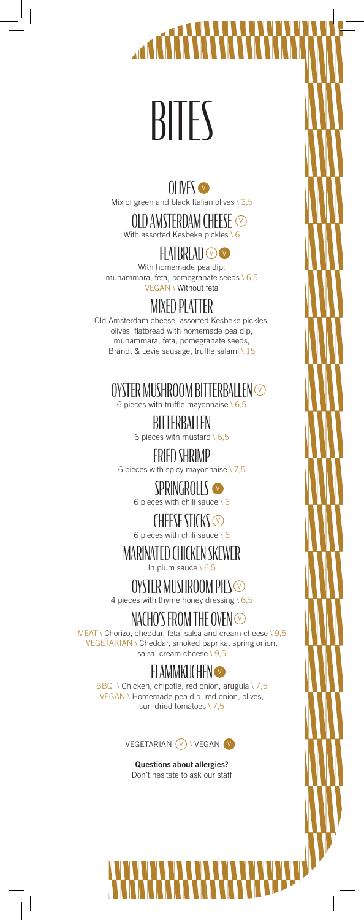# BITES

### OLIVES<sup>®</sup> Mix of green and black Italian olives  $\setminus 3,5$

OLD AMSTERDAM CHEESE With assorted Kesbeke pickles \6

# FLATBREAD O

With homemade pea dip, muhammara, feta, pomegranate seeds \ 6,5 VEGAN \ Without feta

# MIXED PLATTER

Old Amsterdam cheese, assorted Kesbeke pickles, olives, flatbread with homemade pea dip, muhammara, feta, pomegranate seeds, Brandt & Levie sausage, truffle salami \ 15

# OYSTER MUSHROOM BITTERBALLEN  $\odot$

6 pieces with truffle mayonnaise  $\setminus$  6,5

**BITTERBALLEN** 6 pieces with mustard  $\setminus$  6,5

FRIED SHRIMP 6 pieces with spicy mayonnaise  $\sqrt{7,5}$ 

> SPRINGROLLS 6 pieces with chili sauce  $\sqrt{6}$

> CHEESE STICKS<sup>®</sup> 6 pieces with chili sauce \ 6

MARINATED CHICKEN SKEWER In plum sauce  $\sqrt{6,5}$ 

OYSTER MUSHROOM PIES 4 pieces with thyme honey dressing  $6,5$ 

# NACHO'S FROM THE OVEN  $\odot$

MEAT \ Chorizo, cheddar, feta, salsa and cream cheese \ 9,5 VEGETARIAN \ Cheddar, smoked paprika, spring onion, salsa, cream cheese \ 9,5

# **FLAMMKUCHEN**

BBQ \ Chicken, chipotle, red onion, arugula \ 7,5 VEGAN \ Homemade pea dip, red onion, olives, sun-dried tomatoes \7,5



Questions about allergies? Don't hesitate to ask our staff

 $\overline{\phantom{a}}$